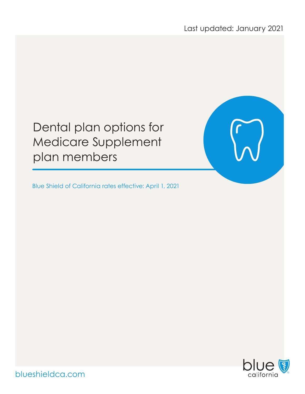Last updated: January 2021

# Dental plan options for Medicare Supplement plan members

Blue Shield of California rates effective: April 1, 2021



blueshieldca.com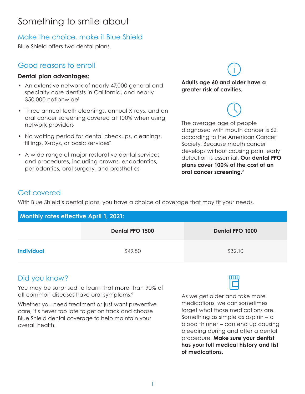### Something to smile about

### Make the choice, make it Blue Shield

Blue Shield offers two dental plans.

### Good reasons to enroll

#### **Dental plan advantages:**

- An extensive network of nearly 47,000 general and specialty care dentists in California, and nearly 350,000 nationwide1
- Three annual teeth cleanings, annual X-rays, and an oral cancer screening covered at 100% when using network providers
- No waiting period for dental checkups, cleanings, fillings, X-rays, or basic services<sup>2</sup>
- A wide range of major restorative dental services and procedures, including crowns, endodontics, periodontics, oral surgery, and prosthetics

#### **Adults age 60 and older have a greater risk of cavities.**

The average age of people diagnosed with mouth cancer is 62, according to the American Cancer Society. Because mouth cancer develops without causing pain, early detection is essential. **Our dental PPO plans cover 100% of the cost of an oral cancer screening.**<sup>3</sup>

### Get covered

With Blue Shield's dental plans, you have a choice of coverage that may fit your needs.

| <b>Monthly rates effective April 1, 2021:</b> |                        |                        |  |  |
|-----------------------------------------------|------------------------|------------------------|--|--|
|                                               | <b>Dental PPO 1500</b> | <b>Dental PPO 1000</b> |  |  |
| <b>Individual</b>                             | \$49.80                | \$32.10                |  |  |

### Did you know?

You may be surprised to learn that more than 90% of all common diseases have oral symptoms.4

Whether you need treatment or just want preventive care, it's never too late to get on track and choose Blue Shield dental coverage to help maintain your overall health.

As we get older and take more medications, we can sometimes forget what those medications are. Something as simple as aspirin – a blood thinner – can end up causing bleeding during and after a dental procedure. **Make sure your dentist has your full medical history and list of medications.**

mm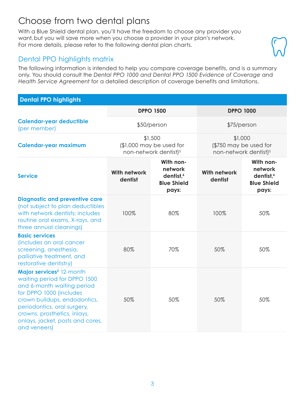### Choose from two dental plans

With a Blue Shield dental plan, you'll have the freedom to choose any provider you want, but you will save more when you choose a provider in your plan's network. For more details, please refer to the following dental plan charts.

### Dental PPO highlights matrix

The following information is intended to help you compare coverage benefits, and is a summary only. You should consult the *Dental PPO 1000 and Dental PPO 1500 Evidence of Coverage* and *Health Service Agreement* for a detailed description of coverage benefits and limitations.

#### **Dental PPO highlights**

|                                                                                                                                                                                                                                                                                  |                                | <b>DPPO 1500</b>                                                             |                                | <b>DPPO 1000</b>                                                             |
|----------------------------------------------------------------------------------------------------------------------------------------------------------------------------------------------------------------------------------------------------------------------------------|--------------------------------|------------------------------------------------------------------------------|--------------------------------|------------------------------------------------------------------------------|
| <b>Calendar-year deductible</b><br>(per member)                                                                                                                                                                                                                                  |                                | \$50/person                                                                  | \$75/person                    |                                                                              |
| <b>Calendar-year maximum</b>                                                                                                                                                                                                                                                     |                                | \$1,500<br>(\$1,000 may be used for<br>non-network dentist) <sup>5</sup>     |                                | \$1,000<br>(\$750 may be used for<br>non-network dentist) <sup>5</sup>       |
| <b>Service</b>                                                                                                                                                                                                                                                                   | <b>With network</b><br>dentist | With non-<br>network<br>dentist, <sup>6</sup><br><b>Blue Shield</b><br>pays: | <b>With network</b><br>dentist | With non-<br>network<br>dentist, <sup>6</sup><br><b>Blue Shield</b><br>pays: |
| <b>Diagnostic and preventive care</b><br>(not subject to plan deductibles<br>with network dentists; includes<br>routine oral exams, X-rays, and<br>three annual cleanings)                                                                                                       | 100%                           | 80%                                                                          | 100%                           | 50%                                                                          |
| <b>Basic services</b><br>(includes an oral cancer<br>screening, anesthesia,<br>palliative treatment, and<br>restorative dentistry)                                                                                                                                               | 80%                            | 70%                                                                          | 50%                            | 50%                                                                          |
| Major services <sup>2</sup> 12-month<br>waiting period for DPPO 1500<br>and 6-month waiting period<br>for DPPO 1000 (includes<br>crown buildups, endodontics,<br>periodontics, oral surgery,<br>crowns, prosthetics, inlays,<br>onlays, jacket, posts and cores,<br>and veneers) | 50%                            | 50%                                                                          | 50%                            | 50%                                                                          |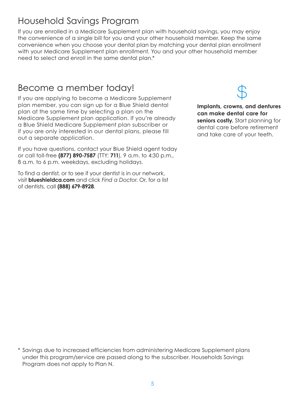### Household Savings Program

If you are enrolled in a Medicare Supplement plan with household savings, you may enjoy the convenience of a single bill for you and your other household member. Keep the same convenience when you choose your dental plan by matching your dental plan enrollment with your Medicare Supplement plan enrollment. You and your other household member need to select and enroll in the same dental plan.\*

### Become a member today!

If you are applying to become a Medicare Supplement plan member, you can sign up for a Blue Shield dental plan at the same time by selecting a plan on the Medicare Supplement plan application. If you're already a Blue Shield Medicare Supplement plan subscriber or if you are only interested in our dental plans, please fill out a separate application.

If you have questions, contact your Blue Shield agent today or call toll-free **(877) 890-7587** (TTY: **711**), 9 a.m. to 4:30 p.m., 8 a.m. to 6 p.m. weekdays, excluding holidays.

To find a dentist, or to see if your dentist is in our network, visit **blueshieldca.com** and click *Find a Doctor*. Or, for a list of dentists, call **(888) 679-8928**.



**Implants, crowns, and dentures can make dental care for seniors costly.** Start planning for dental care before retirement and take care of your teeth.

\* Savings due to increased efficiencies from administering Medicare Supplement plans under this program/service are passed along to the subscriber. Households Savings Program does not apply to Plan N.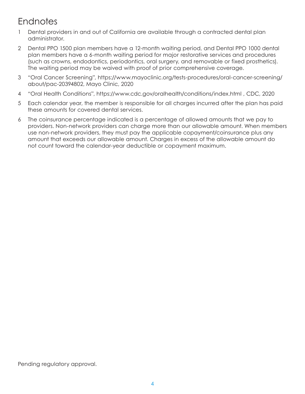## **Endnotes**

- 1 Dental providers in and out of California are available through a contracted dental plan administrator.
- 2 Dental PPO 1500 plan members have a 12-month waiting period, and Dental PPO 1000 dental plan members have a 6-month waiting period for major restorative services and procedures (such as crowns, endodontics, periodontics, oral surgery, and removable or fixed prosthetics). The waiting period may be waived with proof of prior comprehensive coverage.
- 3 "Oral Cancer Screening", https://www.mayoclinic.org/tests-procedures/oral-cancer-screening/ about/pac-20394802, Mayo Clinic, 2020
- 4 "Oral Health Conditions", https://www.cdc.gov/oralhealth/conditions/index.html , CDC, 2020
- 5 Each calendar year, the member is responsible for all charges incurred after the plan has paid these amounts for covered dental services.
- 6 The coinsurance percentage indicated is a percentage of allowed amounts that we pay to providers. Non-network providers can charge more than our allowable amount. When members use non-network providers, they must pay the applicable copayment/coinsurance plus any amount that exceeds our allowable amount. Charges in excess of the allowable amount do not count toward the calendar-year deductible or copayment maximum.

Pending regulatory approval.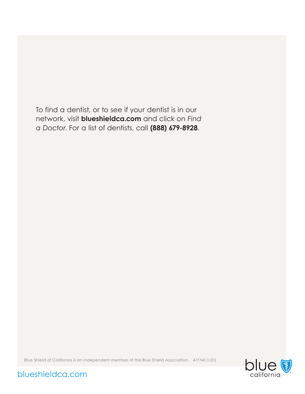To find a dentist, or to see if your dentist is in our network, visit **blueshieldca.com** and click on *Find a Doctor*. For a list of dentists, call **(888) 679-8928**.

Blue Shield of California is an independent member of the Blue Shield Association A17740 (1/21)



blueshieldca.com